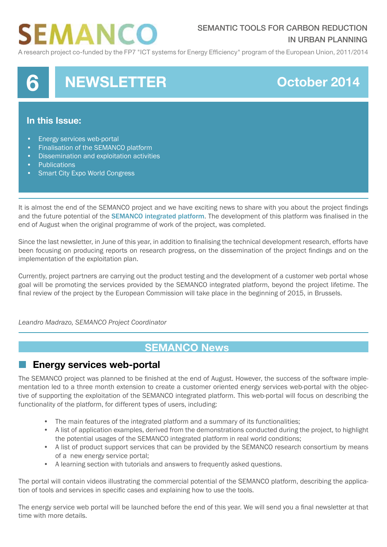# **SEMANCO**

### SEMANTIC TOOLS FOR CARBON REDUCTION IN URBAN PLANNING

A research project co-funded by the FP7 "ICT systems for Energy Efficiency" program of the European Union, 2011/2014



#### **In this Issue:**

- Energy services web-portal
- Finalisation of the SEMANCO platform
- Dissemination and exploitation activities
- Publications
- **Smart City Expo World Congress**

It is almost the end of the SEMANCO project and we have exciting news to share with you about the project findings and the future potential of the **[SEMANCO integrated platform](https://docs.google.com/file/d/0B9CkvqPnyU_qYWZuMGprUHVRNkk/edit?pli=1).** The development of this platform was finalised in the end of August when the original programme of work of the project, was completed.

Since the last newsletter, in June of this year, in addition to finalising the technical development research, efforts have been focusing on producing reports on research progress, on the dissemination of the project findings and on the implementation of the exploitation plan.

Currently, project partners are carrying out the product testing and the development of a customer web portal whose goal will be promoting the services provided by the SEMANCO integrated platform, beyond the project lifetime. The final review of the project by the European Commission will take place in the beginning of 2015, in Brussels.

*Leandro Madrazo, SEMANCO Project Coordinator*

# **SEMANCO News**

### **Energy services web-portal**

The SEMANCO project was planned to be finished at the end of August. However, the success of the software implementation led to a three month extension to create a customer oriented energy services web-portal with the objective of supporting the exploitation of the SEMANCO integrated platform. This web-portal will focus on describing the functionality of the platform, for different types of users, including:

- The main features of the integrated platform and a summary of its functionalities;
- A list of application examples, derived from the demonstrations conducted during the project, to highlight the potential usages of the SEMANCO integrated platform in real world conditions;
- A list of product support services that can be provided by the SEMANCO research consortium by means of a new energy service portal;
- A learning section with tutorials and answers to frequently asked questions.

The portal will contain videos illustrating the commercial potential of the SEMANCO platform, describing the application of tools and services in specific cases and explaining how to use the tools.

The energy service web portal will be launched before the end of this year. We will send you a final newsletter at that time with more details.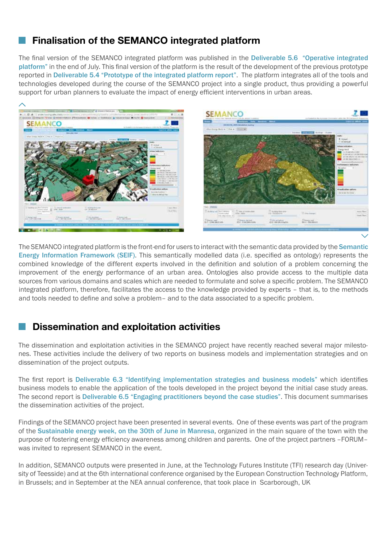# **Finalisation of the SEMANCO integrated platform**

The final version of the SEMANCO integrated platform was published in the Deliverable 5.6 ["Operative integrated](http://www.semanco-project.eu/index_htm_files/SEMANCO_D5.6_20140731.pdf)  [platform"](http://www.semanco-project.eu/index_htm_files/SEMANCO_D5.6_20140731.pdf) in the end of July. This final version of the platform is the result of the development of the previous prototype reported in [Deliverable 5.4 "Prototype of the integrated platform report"](http://www.semanco-project.eu/index_htm_files/SEMANCO_D5.4_20131028.pdf). The platform integrates all of the tools and technologies developed during the course of the SEMANCO project into a single product, thus providing a powerful support for urban planners to evaluate the impact of energy efficient interventions in urban areas.



The SEMANCO integrated platform is the front-end for users to interact with the semantic data provided by the [Semantic](http://www.semanco-project.eu/index_htm_files/SEMANCO_D4.5_20131018.pdf)  [Energy Information Framework \(SEIF\)](http://www.semanco-project.eu/index_htm_files/SEMANCO_D4.5_20131018.pdf). This semantically modelled data (i.e. specified as ontology) represents the combined knowledge of the different experts involved in the definition and solution of a problem concerning the improvement of the energy performance of an urban area. Ontologies also provide access to the multiple data sources from various domains and scales which are needed to formulate and solve a specific problem. The SEMANCO integrated platform, therefore, facilitates the access to the knowledge provided by experts – that is, to the methods and tools needed to define and solve a problem– and to the data associated to a specific problem.

### **Dissemination and exploitation activities**

The dissemination and exploitation activities in the SEMANCO project have recently reached several major milestones. These activities include the delivery of two reports on business models and implementation strategies and on dissemination of the project outputs.

The first report is [Deliverable 6.3 "Identifying implementation strategies and business models"](http://www.semanco-project.eu/index_htm_files/SEMANCO_D6%203_20140731.pdf) which identifies business models to enable the application of the tools developed in the project beyond the initial case study areas. The second report is [Deliverable 6.5 "Engaging practitioners beyond the case studies"](http://www.semanco-project.eu/index_htm_files/SEMANCO_D6.5_20140930.pdf). This document summarises the dissemination activities of the project.

Findings of the SEMANCO project have been presented in several events. One of these events was part of the program of the [Sustainable energy week, on the 30th of June in Manresa](http://arc.housing.salle.url.edu/semanco/blogs/manresa/2014/07/01/semanco-with-children-in-the-energy-week/), organized in the main square of the town with the purpose of fostering energy efficiency awareness among children and parents. One of the project partners –FORUM– was invited to represent SEMANCO in the event.

In addition, SEMANCO outputs were presented in June, at the Technology Futures Institute (TFI) research day (University of Teesside) and at the 6th international conference organised by the European Construction Technology Platform, in Brussels; and in September at the NEA annual conference, that took place in Scarborough, UK